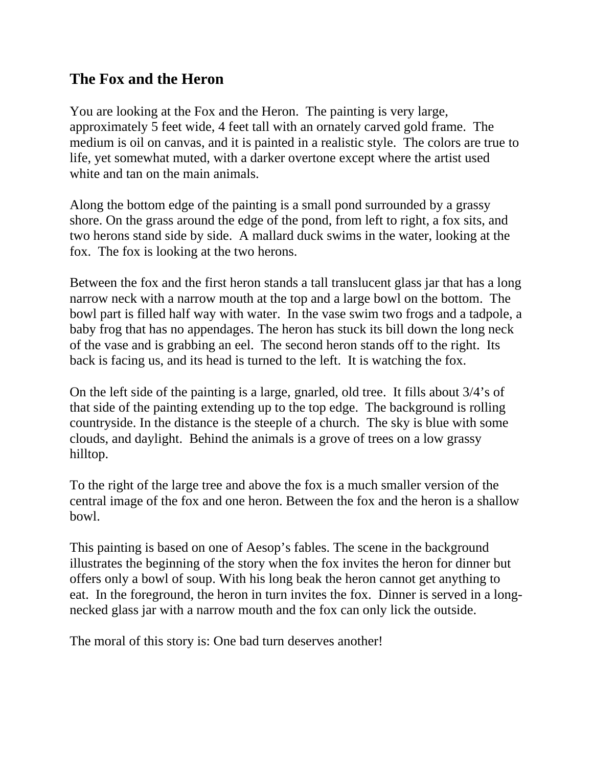## **The Fox and the Heron**

You are looking at the Fox and the Heron. The painting is very large, approximately 5 feet wide, 4 feet tall with an ornately carved gold frame. The medium is oil on canvas, and it is painted in a realistic style. The colors are true to life, yet somewhat muted, with a darker overtone except where the artist used white and tan on the main animals.

Along the bottom edge of the painting is a small pond surrounded by a grassy shore. On the grass around the edge of the pond, from left to right, a fox sits, and two herons stand side by side. A mallard duck swims in the water, looking at the fox. The fox is looking at the two herons.

Between the fox and the first heron stands a tall translucent glass jar that has a long narrow neck with a narrow mouth at the top and a large bowl on the bottom. The bowl part is filled half way with water. In the vase swim two frogs and a tadpole, a baby frog that has no appendages. The heron has stuck its bill down the long neck of the vase and is grabbing an eel. The second heron stands off to the right. Its back is facing us, and its head is turned to the left. It is watching the fox.

On the left side of the painting is a large, gnarled, old tree. It fills about 3/4's of that side of the painting extending up to the top edge. The background is rolling countryside. In the distance is the steeple of a church. The sky is blue with some clouds, and daylight. Behind the animals is a grove of trees on a low grassy hilltop.

To the right of the large tree and above the fox is a much smaller version of the central image of the fox and one heron. Between the fox and the heron is a shallow bowl.

This painting is based on one of Aesop's fables. The scene in the background illustrates the beginning of the story when the fox invites the heron for dinner but offers only a bowl of soup. With his long beak the heron cannot get anything to eat. In the foreground, the heron in turn invites the fox. Dinner is served in a longnecked glass jar with a narrow mouth and the fox can only lick the outside.

The moral of this story is: One bad turn deserves another!